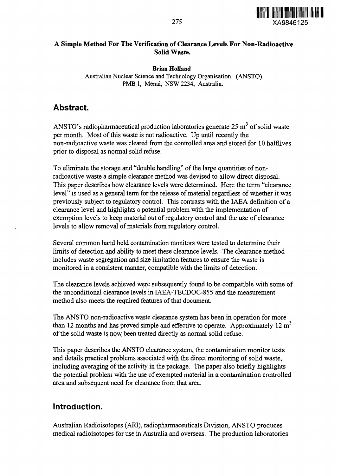

#### **A Simple Method For The Verification of Clearance Levels For Non-Radioactive Solid Waste.**

#### Brian Holland

Australian Nuclear Science and Technology Organisation. (ANSTO) PMB 1, Menai, NSW 2234, Australia.

### **Abstract.**

ANSTO's radiopharmaceutical production laboratories generate 25 m<sup>3</sup> of solid waste per month. Most of this waste is not radioactive. Up until recently the non-radioactive waste was cleared from the controlled area and stored for 10 halflives prior to disposal as normal solid refuse.

To eliminate the storage and "double handling" of the large quantities of nonradioactive waste a simple clearance method was devised to allow direct disposal. This paper describes how clearance levels were determined. Here the term "clearance level" is used as a general term for the release of material regardless of whether it was previously subject to regulatory control. This contrasts with the IAEA definition of a clearance level and highlights a potential problem with the implementation of exemption levels to keep material out of regulatory control and the use of clearance levels to allow removal of materials from regulatory control.

Several common hand held contamination monitors were tested to determine their limits of detection and ability to meet these clearance levels. The clearance method includes waste segregation and size limitation features to ensure the waste is monitored in a consistent manner, compatible with the limits of detection.

The clearance levels achieved were subsequently found to be compatible with some of the unconditional clearance levels in IAEA-TECDOC-855 and the measurement method also meets the required features of that document.

The ANSTO non-radioactive waste clearance system has been in operation for more than 12 months and has proved simple and effective to operate. Approximately  $12 \text{ m}^3$ of the solid waste is now been treated directly as normal solid refuse.

This paper describes the ANSTO clearance system, the contamination monitor tests and details practical problems associated with the direct monitoring of solid waste, including averaging of the activity in the package. The paper also briefly highlights the potential problem with the use of exempted material in a contamination controlled area and subsequent need for clearance from that area.

### **Introduction.**

Australian Radioisotopes (ARI), radiopharmaceuticals Division, ANSTO produces medical radioisotopes for use in Australia and overseas. The production laboratories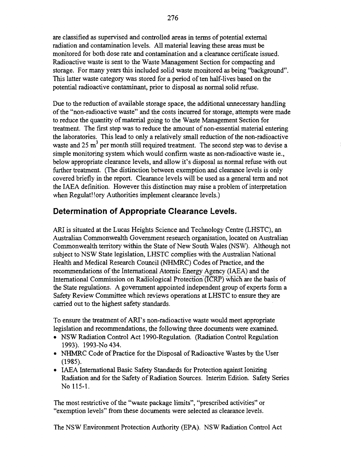are classified as supervised and controlled areas in terms of potential external radiation and contamination levels. All material leaving these areas must be monitored for both dose rate and contamination and a clearance certificate issued. Radioactive waste is sent to the Waste Management Section for compacting and storage. For many years this included solid waste monitored as being "background". This latter waste category was stored for a period of ten half-lives based on the potential radioactive contaminant, prior to disposal as normal solid refuse.

Due to the reduction of available storage space, the additional unnecessary handling of the "non-radioactive waste" and the costs incurred for storage, attempts were made to reduce the quantity of material going to the Waste Management Section for treatment. The first step was to reduce the amount of non-essential material entering the laboratories. This lead to only a relatively small reduction of the non-radioactive waste and  $25 \text{ m}^3$  per month still required treatment. The second step was to devise a simple monitoring system which would confirm waste as non-radioactive waste ie., below appropriate clearance levels, and allow it's disposal as normal refuse with out further treatment. (The distinction between exemption and clearance levels is only covered briefly in the report. Clearance levels will be used as a general term and not the IAEA definition. However this distinction may raise a problem of interpretation when Regulat! lory Authorities implement clearance levels.)

## **Determination of Appropriate Clearance Levels.**

ARI is situated at the Lucas Heights Science and Technology Centre (LHSTC), an Australian Commonwealth Government research organisation, located on Australian Commonwealth territory within the State of New South Wales (NSW). Although not subject to NSW State legislation, LHSTC complies with the Australian National Health and Medical Research Council (NHMRC) Codes of Practice, and the recommendations of the International Atomic Energy Agency (IAEA) and the International Commission on Radiological Protection (TCRF) which are the basis of the State regulations. A government appointed independent group of experts form a Safety Review Committee which reviews operations at LHSTC to ensure they are carried out to the highest safety standards.

To ensure the treatment of ARI's non-radioactive waste would meet appropriate legislation and recommendations, the following three documents were examined.

- NSW Radiation Control Act 1990-Regulation. (Radiation Control Regulation 1993). 1993-No434.
- NHMRC Code of Practice for the Disposal of Radioactive Wastes by the User (1985).
- IAEA International Basic Safety Standards for Protection against Ionizing Radiation and for the Safety of Radiation Sources. Interim Edition. Safety Series No 115-1.

The most restrictive of the "waste package limits", "prescribed activities" or "exemption levels" from these documents were selected as clearance levels.

The NSW Environment Protection Authority (EPA). NSW Radiation Control Act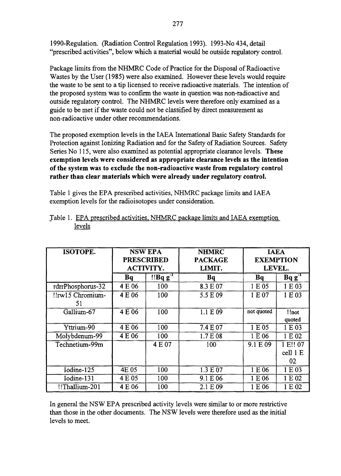1990-Regulation. (Radiation Control Regulation 1993). 1993-No 434, detail "prescribed activities", below which a material would be outside regulatory control.

Package limits from the NHMRC Code of Practice for the Disposal of Radioactive Wastes by the User (1985) were also examined. However these levels would require the waste to be sent to a tip licensed to receive radioactive materials. The intention of the proposed system was to confirm the waste in question was non-radioactive and outside regulatory control. The NHMRC levels were therefore only examined as a guide to be met if the waste could not be classified by direct measurement as non-radioactive under other recommendations.

The proposed exemption levels in the IAEA International Basic Safety Standards for Protection against Ionizing Radiation and for the Safety of Radiation Sources. Safety Series No 115, were also examined as potential appropriate clearance levels. **These exemption levels were considered as appropriate clearance levels as the intention of the system was to exclude the non-radioactive waste from regulatory control rather than clear materials which were already under regulatory control.**

Table 1 gives the EPA prescribed activities, NHMRC package limits and IAEA exemption levels for the radioisotopes under consideration.

| <b>ISOTOPE.</b>       | <b>NSW EPA</b><br><b>PRESCRIBED</b><br><b>ACTIVITY.</b> |        | <b>NHMRC</b><br><b>PACKAGE</b><br>LIMIT. | <b>IAEA</b><br><b>EXEMPTION</b><br>LEVEL. |                            |
|-----------------------|---------------------------------------------------------|--------|------------------------------------------|-------------------------------------------|----------------------------|
|                       | Bq                                                      | "BBqg" | Bq                                       | Bq                                        | $Bqg-1$                    |
| rdrrPhosphorus-32     | 4 E 06                                                  | 100    | 8.3 E 07                                 | 1 E 05                                    | 1 E 03                     |
| ‼rw15 Chromium-<br>51 | 4 E 06                                                  | 100    | 5.5 E 09                                 | 1E07                                      | 1 E 03                     |
| Gallium-67            | 4 E 06                                                  | 100    | 1.1 E09                                  | not quoted                                | !!not<br>quoted            |
| Yttrium-90            | $\overline{4}$ E 06                                     | 100    | 7.4 E 07                                 | 1 E 05                                    | 1 E 03                     |
| Molybdenum-99         | 4 E 06                                                  | 100    | 1.7 E 08                                 | 1 E 06                                    | 1 E 02                     |
| Technetium-99m        |                                                         | 4 E 07 | 100                                      | 9.1 E 09                                  | 1 E!! 07<br>cell 1 E<br>02 |
| Iodine-125            | 4E 05                                                   | 100    | 1.3 E 07                                 | 1 E 06                                    | 1 E 03                     |
| Iodine-131            | 4 E 05                                                  | 100    | 9.1 E 06                                 | 1 E 06                                    | 1 E 02                     |
| !!Thallium-201        | 4 E 06                                                  | 100    | 2.1 E 09                                 | 1 E 06                                    | 1 E 02                     |

| Table 1. EPA prescribed activities, NHMRC package limits and IAEA exemption |  |  |  |
|-----------------------------------------------------------------------------|--|--|--|
| levels                                                                      |  |  |  |

In general the NSW EPA prescribed activity levels were similar to or more restrictive than those in the other documents. The NSW levels were therefore used as the initial levels to meet.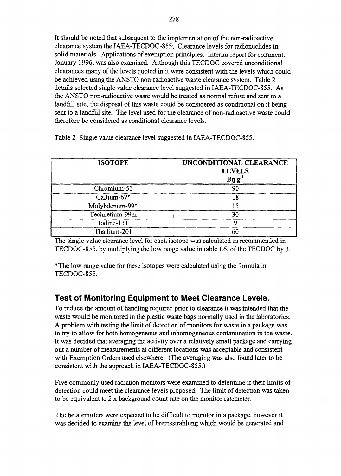It should be noted that subsequent to the implementation of the non-radioactive clearance system the IAEA-TECDOC-855; Clearance levels for radionuclides in solid materials. Applications of exemption principles. Interim report for comment. January 1996, was also examined. Although this TECDOC covered unconditional clearances many of the levels quoted in it were consistent with the levels which could be achieved using the ANSTO non-radioactive waste clearance system. Table 2 details selected single value clearance level suggested in IAEA-TECDOC-855. As the ANSTO non-radioactive waste would be treated as normal refuse and sent to a landfill site, the disposal of this waste could be considered as conditional on it being sent to a landfill site. The level used for the clearance of non-radioactive waste could therefore be considered as conditional clearance levels.

| <b>ISOTOPE</b> | UNCONDITIONAL CLEARANCE<br><b>LEVELS</b><br>Bq g |
|----------------|--------------------------------------------------|
| Chromium-51    |                                                  |
| Gallium-67*    |                                                  |
| Molybdenum-99* |                                                  |
| Technetium-99m |                                                  |
| Iodine- $131$  |                                                  |
| Thallium-201   |                                                  |

Table 2 Single value clearance level suggested in IAEA-TECDOC-855.

The single value clearance level for each isotope was calculated as recommended in TECDOC-855, by multiplying the low range value in table 1.6. of the TECDOC by 3.

\*The low range value for these isotopes were calculated using the formula in TECDOC-855.

## **Test of Monitoring Equipment to Meet Clearance Levels.**

To reduce the amount of handling required prior to clearance it was intended that the waste would be monitored in the plastic waste bags normally used in the laboratories. A problem with testing the limit of detection of monitors for waste in a package was to try to allow for both homogeneous and inhomogeneous contamination in the waste. It was decided that averaging the activity over a relatively small package and carrying out a number of measurements at different locations was acceptable and consistent with Exemption Orders used elsewhere. (The averaging was also found later to be consistent with the approach in IAEA-TECDOC-855.)

Five commonly used radiation monitors were examined to determine if their limits of detection could meet the clearance levels proposed. The limit of detection was taken to be equivalent to 2 x background count rate on the monitor ratemeter.

The beta emitters were expected to be difficult to monitor in a package, however it was decided to examine the level of bremsstrahlung which would be generated and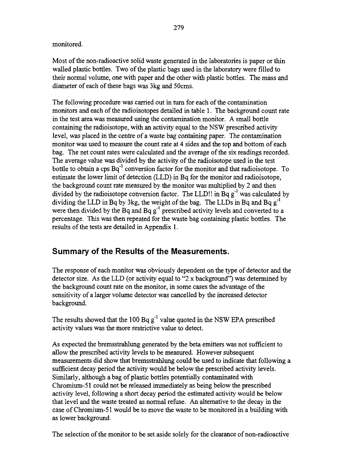monitored.

Most of the non-radioactive solid waste generated in the laboratories is paper or thin walled plastic bottles. Two of the plastic bags used in the laboratory were filled to their normal volume, one with paper and the other with plastic bottles. The mass and diameter of each of these bags was 3kg and 50cms.

The following procedure was carried out in turn for each of the contamination monitors and each of the radioisotopes detailed in table 1. The background count rate in the test area was measured using the contamination monitor. A small bottle containing the radioisotope, with an activity equal to the NSW prescribed activity level, was placed in the centre of a waste bag containing paper. The contamination monitor was used to measure the count rate at 4 sides and the top and bottom of each bag. The net count rates were calculated and the average of the six readings recorded. The average value was divided by the activity of the radioisotope used in the test bottle to obtain a cps  $Bq^{-1}$  conversion factor for the monitor and that radioisotope. To estimate the lower limit of detection (LLD) in Bq for the monitor and radioisotope, the background count rate measured by the monitor was multiplied by 2 and then divided by the radioisotope conversion factor. The LLD!! in Bq  $g^{-1}$  was calculated by dividing the LLD in Bq by 3kg, the weight of the bag. The LLDs in Bq and Bq  $g^{-1}$ were then divided by the Bq and Bq  $g^{-1}$  prescribed activity levels and converted to a percentage. This was then repeated for the waste bag containing plastic bottles. The results of the tests are detailed in Appendix 1.

## **Summary of the Results of the Measurements.**

The response of each monitor was obviously dependent on the type of detector and the detector size. As the LLD (or activity equal to "2 x background") was determined by the background count rate on the monitor, in some cases the advantage of the sensitivity of a larger volume detector was cancelled by the increased detector background.

The results showed that the 100 Bq  $g^{-1}$  value quoted in the NSW EPA prescribed activity values was the more restrictive value to detect.

As expected the bremsstrahlung generated by the beta emitters was not sufficient to allow the prescribed activity levels to be measured. However subsequent measurements did show that bremsstrahlung could be used to indicate that following a sufficient decay period the activity would be below the prescribed activity levels. Similarly, although a bag of plastic bottles potentially contaminated with Chromium-51 could not be released immediately as being below the prescribed activity level, following a short decay period the estimated activity would be below that level and the waste treated as normal refuse. An alternative to the decay in the case of Chromium-51 would be to move the waste to be monitored in a building with as lower background.

The selection of the monitor to be set aside solely for the clearance of non-radioactive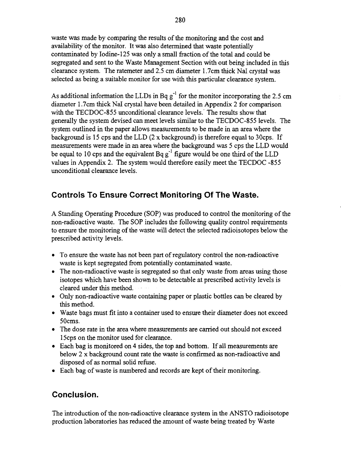waste was made by comparing the results of the monitoring and the cost and availability of the monitor. It was also determined that waste potentially contaminated by Iodine-125 was only a small fraction of the total and could be segregated and sent to the Waste Management Section with out being included in this clearance system. The ratemeter and 2.5 cm diameter 1.7cm thick Nal crystal was selected as being a suitable monitor for use with this particular clearance system.

As additional information the LLDs in Bq  $g^{-1}$  for the monitor incorporating the 2.5 cm diameter 1.7cm thick Nal crystal have been detailed in Appendix 2 for comparison with the TECDOC-855 unconditional clearance levels. The results show that generally the system devised can meet levels similar to the TECDOC-855 levels. The system outlined in the paper allows measurements to be made in an area where the background is 15 cps and the LLD (2 x background) is therefore equal to 30cps. If measurements were made in an area where the background was 5 cps the LLD would be equal to 10 cps and the equivalent  $Bq g^{-1}$  figure would be one third of the LLD values in Appendix 2. The system would therefore easily meet the TECDOC -855 unconditional clearance levels.

# **Controls To Ensure Correct Monitoring Of The Waste.**

A Standing Operating Procedure (SOP) was produced to control the monitoring of the non-radioactive waste. The SOP includes the following quality control requirements to ensure the monitoring of the waste will detect the selected radioisotopes below the prescribed activity levels.

- To ensure the waste has not been part of regulatory control the non-radioactive waste is kept segregated from potentially contaminated waste.
- The non-radioactive waste is segregated so that only waste from areas using those isotopes which have been shown to be detectable at prescribed activity levels is cleared under this method.
- Only non-radioactive waste containing paper or plastic bottles can be cleared by this method.
- Waste bags must fit into a container used to ensure their diameter does not exceed 50cms.
- The dose rate in the area where measurements are carried out should not exceed 15cps on the monitor used for clearance.
- Each bag is monitored on 4 sides, the top and bottom. If all measurements are below 2 x background count rate the waste is confirmed as non-radioactive and disposed of as normal solid refuse.
- Each bag of waste is numbered and records are kept of their monitoring.

## **Conclusion.**

The introduction of the non-radioactive clearance system in the ANSTO radioisotope production laboratories has reduced the amount of waste being treated by Waste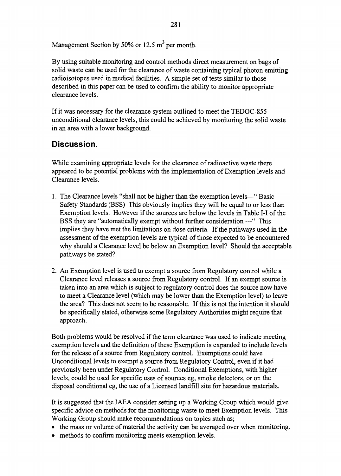Management Section by 50% or 12.5  $m^3$  per month.

By using suitable monitoring and control methods direct measurement on bags of solid waste can be used for the clearance of waste containing typical photon emitting radioisotopes used in medical facilities. A simple set of tests similar to those described in this paper can be used to confirm the ability to monitor appropriate clearance levels.

If it was necessary for the clearance system outlined to meet the TEDOC-855 unconditional clearance levels, this could be achieved by monitoring the solid waste in an area with a lower background.

# **Discussion.**

While examining appropriate levels for the clearance of radioactive waste there appeared to be potential problems with the implementation of Exemption levels and Clearance levels.

- 1. The Clearance levels "shall not be higher than the exemption levels—" Basic Safety Standards (BSS) This obviously implies they will be equal to or less than Exemption levels. However if the sources are below the levels in Table I-I of the BSS they are "automatically exempt without further consideration ---" This implies they have met the limitations on dose criteria. If the pathways used in the assessment of the exemption levels are typical of those expected to be encountered why should a Clearance level be below an Exemption level? Should the acceptable pathways be stated?
- 2. An Exemption level is used to exempt a source from Regulatory control while a Clearance level releases a source from Regulatory control. If an exempt source is taken into an area which is subject to regulatory control does the source now have to meet a Clearance level (which may be lower than the Exemption level) to leave the area? This does not seem to be reasonable. If this is not the intention it should be specifically stated, otherwise some Regulatory Authorities might require that approach.

Both problems would be resolved if the term clearance was used to indicate meeting exemption levels and the definition of these Exemption is expanded to include levels for the release of a source from Regulatory control. Exemptions could have Unconditional levels to exempt a source from Regulatory Control, even if it had previously been under Regulatory Control. Conditional Exemptions, with higher levels, could be used for specific uses of sources eg, smoke detectors, or on the disposal conditional eg, the use of a Licensed landfill site for hazardous materials.

It is suggested that the IAEA consider setting up a Working Group which would give specific advice on methods for the monitoring waste to meet Exemption levels. This Working Group should make recommendations on topics such as;

- the mass or volume of material the activity can be averaged over when monitoring.
- methods to confirm monitoring meets exemption levels.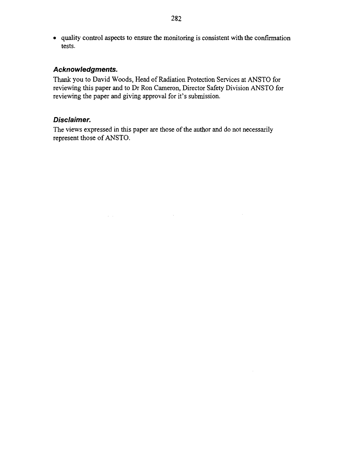• quality control aspects to ensure the monitoring is consistent with the confirmation tests.

#### Acknowledgments.

Thank you to David Woods, Head of Radiation Protection Services at ANSTO for reviewing this paper and to Dr Ron Cameron, Director Safety Division ANSTO for reviewing the paper and giving approval for it's submission.

#### Disclaimer.

The views expressed in this paper are those of the author and do not necessarily represent those of ANSTO.

 $\sim$   $\sim$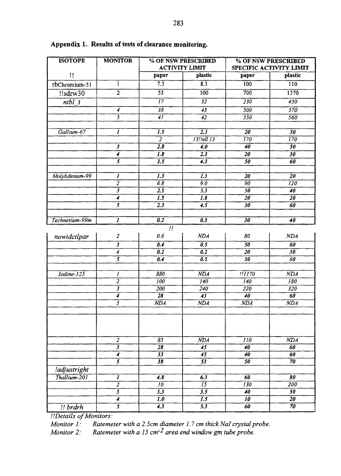| <b>ISOTOPE</b> | <b>MONITOR</b>                              | % OF NSW PRESCRIBED                |                                      | % OF NSW PRESCRIBED<br>SPECIFIC ACTIVITY LIMIT |                                     |
|----------------|---------------------------------------------|------------------------------------|--------------------------------------|------------------------------------------------|-------------------------------------|
|                |                                             |                                    | <b>ACTIVITY LIMIT</b>                |                                                |                                     |
| Ħ              |                                             | paper                              | plastic                              | paper                                          | plastic                             |
| rbChromium-51  | $\mathbf I$                                 | $\overline{7.3}$                   | 8.3                                  | 100                                            | $\overline{110}$                    |
| $!$ sdrw $30$  | $\overline{2}$                              | $\overline{53}$                    | 100                                  | 700                                            | 1370                                |
| $ntbl_3$       |                                             | $\overline{17}$                    | $\overline{32}$                      | 230                                            | 430                                 |
|                | $\overline{4}$                              | $\overline{38}$                    | $\overline{43}$                      | 500                                            | $\overline{570}$                    |
|                | $\overline{s}$                              | $\overline{4I}$                    | $\overline{42}$                      | 550                                            | 560                                 |
|                |                                             |                                    |                                      |                                                |                                     |
| Gallium-67     | $\overline{I}$                              | $\overline{1.5}$                   | $2.\overline{3}$                     | $\overline{20}$<br>$\overline{170}$            | $\overline{30}$                     |
|                | $\overline{\mathbf{3}}$                     | $\overline{2}$<br>$\overline{2.8}$ | 13!!ell 13<br>4.0                    | $\overline{40}$                                | $\overline{170}$<br>$\overline{50}$ |
|                | 4                                           | 1.8                                | 2.3                                  | 20                                             | 30                                  |
|                | $\overline{s}$                              | $\overline{3.5}$                   | $\overline{4.3}$                     | $\overline{50}$                                | $\overline{60}$                     |
|                |                                             |                                    |                                      |                                                |                                     |
| Molybdenum-99  | $\boldsymbol{I}$                            | $\overline{1.3}$                   | $\overline{1.3}$                     | $\overline{20}$                                | $\overline{20}$                     |
|                | 7                                           | 6.8                                | $\overline{9.0}$                     | $\overline{90}$                                | $\overline{120}$                    |
|                | 3                                           | $\overline{2.5}$                   | $\overline{3.3}$                     | 30                                             | $\overline{40}$                     |
|                | 4                                           | $\overline{1.5}$                   | <b>1.8</b>                           | $\overline{20}$                                | $\overline{20}$                     |
|                | $\overline{\mathbf{5}}$                     | 2.3                                | 4.5                                  | 30                                             | 60                                  |
|                |                                             |                                    |                                      |                                                |                                     |
| Technetium-99m | $\overline{I}$                              | $\overline{0.2}$                   | $\overline{0.3}$                     | $\overline{30}$                                | $\overline{40}$                     |
|                |                                             | $\mathcal{L}^{\prime}$             |                                      |                                                |                                     |
| nowidctlpar    | $\overline{\mathbf{z}}$                     | 0.6                                | NDA                                  | 80                                             | <b>NDA</b>                          |
|                | $\mathbf{3}$                                | $\overline{0.4}$                   | $\overline{0.5}$                     | $\overline{50}$                                | $\overline{60}$                     |
|                | $\boldsymbol{4}$                            | $\overline{0.2}$                   | $\overline{0.2}$                     | $\overline{20}$                                | 30                                  |
|                | $\overline{s}$                              | 0.4                                | $\overline{0.5}$                     | 50                                             | 60                                  |
|                |                                             |                                    |                                      |                                                |                                     |
| Iodine-125     | 1<br>$\overline{z}$                         | 880<br>100                         | NDA<br>$\overline{140}$              | !!!!?0<br>140                                  | NDA<br>180                          |
|                | $\overline{\mathbf{3}}$                     | 200                                | 240                                  | 220                                            | 320                                 |
|                | 4                                           | $\overline{28}$                    | $\overline{43}$                      | 40                                             | 60                                  |
|                | $\overline{\mathcal{S}}$                    | $\overline{NDA}$                   | $N\overline{DA}$                     | $\overline{NDA}$                               | NDA                                 |
|                |                                             |                                    |                                      |                                                |                                     |
|                |                                             |                                    |                                      |                                                |                                     |
|                |                                             |                                    |                                      |                                                |                                     |
|                |                                             |                                    |                                      |                                                |                                     |
|                | $\overline{a}$                              | 85                                 | <b>NDA</b>                           | 110                                            | <b>NDA</b>                          |
|                | $\overline{\overline{3}}$                   | $\overline{28}$                    | $\overline{45}$                      | $\overline{40}$                                | 60                                  |
|                | $\overline{4}$                              | $\overline{33}$                    | $\overline{45}$                      | $\overline{40}$                                | 60                                  |
|                | $\overline{s}$                              | $\overline{38}$                    | $\overline{53}$                      | 50                                             | $\overline{70}$                     |
| !adjustright   |                                             |                                    |                                      |                                                |                                     |
| Thallium-201   | $\boldsymbol{I}$                            | 4.8                                | 6.3                                  | 60                                             | 80                                  |
|                | $\overline{2}$                              | $\overline{10}$                    | $\overline{15}$                      | 130                                            | 200                                 |
|                | $\overline{\mathbf{3}}$<br>$\boldsymbol{4}$ | 3.3<br>1.0                         | $\overline{3.5}$<br>$\overline{1.5}$ | 40<br>10                                       | $\overline{50}$<br>$\overline{20}$  |
|                | $\overline{s}$                              | $\overline{4.3}$                   | $\overline{5.3}$                     | 60                                             | $\overline{70}$                     |
| $!!$ brdrh     |                                             |                                    |                                      |                                                |                                     |

#### **Appendix 1. Results of tests of clearance monitoring.**

*!'.Details of Monitors:*

*Monitor 1: Ratemeter with a 2.5cm diameter 1.7 cm thick Nal crystal probe.*

*Monitor 2: Ratemeter with a 15 cmr^ area end window gm tube probe.*